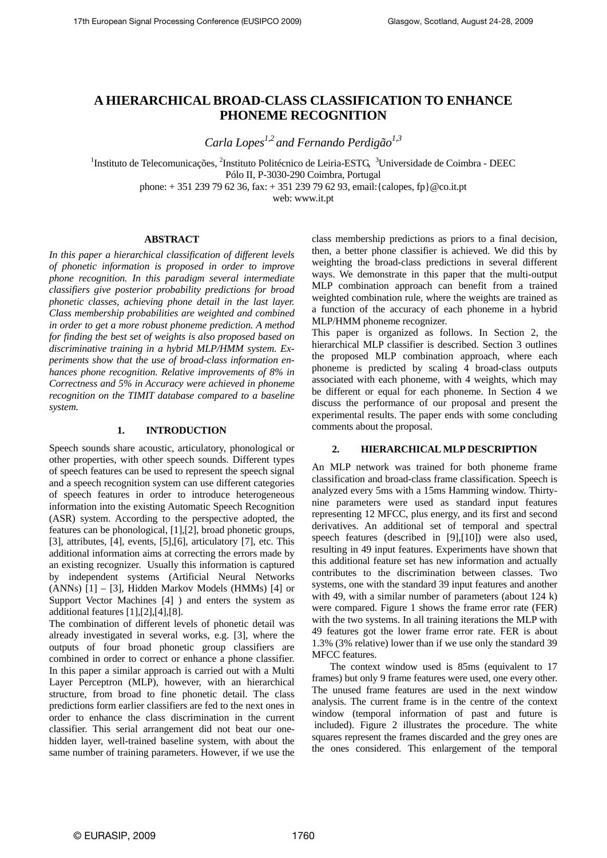# **A HIERARCHICAL BROAD-CLASS CLASSIFICATION TO ENHANCE PHONEME RECOGNITION**

*Carla Lopes1,2 and Fernando Perdigão1,3*

<sup>1</sup>Instituto de Telecomunicações, <sup>2</sup>Instituto Politécnico de Leiria-ESTG, <sup>3</sup>Universidade de Coimbra - DEEC Pólo II, P-3030-290 Coimbra, Portugal

phone: + 351 239 79 62 36, fax: + 351 239 79 62 93, email:{calopes, fp}@co.it.pt

web: www.it.pt

# **ABSTRACT**

*In this paper a hierarchical classification of different levels of phonetic information is proposed in order to improve phone recognition. In this paradigm several intermediate classifiers give posterior probability predictions for broad phonetic classes, achieving phone detail in the last layer. Class membership probabilities are weighted and combined in order to get a more robust phoneme prediction. A method for finding the best set of weights is also proposed based on discriminative training in a hybrid MLP/HMM system. Experiments show that the use of broad-class information enhances phone recognition. Relative improvements of 8% in Correctness and 5% in Accuracy were achieved in phoneme recognition on the TIMIT database compared to a baseline system.* 

#### **1. INTRODUCTION**

Speech sounds share acoustic, articulatory, phonological or other properties, with other speech sounds. Different types of speech features can be used to represent the speech signal and a speech recognition system can use different categories of speech features in order to introduce heterogeneous information into the existing Automatic Speech Recognition (ASR) system. According to the perspective adopted, the features can be phonological, [\[1\],](#page-4-0)[\[2\],](#page-4-1) broad phonetic groups, [\[3\],](#page-4-2) attributes, [\[4\],](#page-4-3) events, [\[5\]](#page-4-4),[\[6\]](#page-4-5), articulatory [\[7\]](#page-4-6), etc. This additional information aims at correcting the errors made by an existing recognizer. Usually this information is captured by independent systems (Artificial Neural Networks (ANNs) [\[1\]](#page-4-0) – [\[3\]](#page-4-2), Hidden Markov Models (HMMs) [\[4\]](#page-4-3) or Support Vector Machines [\[4\]](#page-4-3) ) and enters the system as additional features [\[1\]](#page-4-0),[\[2\]](#page-4-1),[\[4\]](#page-4-3),[\[8\]](#page-4-7).

The combination of different levels of phonetic detail was already investigated in several works, e.g. [\[3\],](#page-4-2) where the outputs of four broad phonetic group classifiers are combined in order to correct or enhance a phone classifier. In this paper a similar approach is carried out with a Multi Layer Perceptron (MLP), however, with an hierarchical structure, from broad to fine phonetic detail. The class predictions form earlier classifiers are fed to the next ones in order to enhance the class discrimination in the current classifier. This serial arrangement did not beat our onehidden layer, well-trained baseline system, with about the same number of training parameters. However, if we use the

class membership predictions as priors to a final decision, then, a better phone classifier is achieved. We did this by weighting the broad-class predictions in several different ways. We demonstrate in this paper that the multi-output MLP combination approach can benefit from a trained weighted combination rule, where the weights are trained as a function of the accuracy of each phoneme in a hybrid MLP/HMM phoneme recognizer.

This paper is organized as follows. In Section 2, the hierarchical MLP classifier is described. Section 3 outlines the proposed MLP combination approach, where each phoneme is predicted by scaling 4 broad-class outputs associated with each phoneme, with 4 weights, which may be different or equal for each phoneme. In Section 4 we discuss the performance of our proposal and present the experimental results. The paper ends with some concluding comments about the proposal.

#### **2. HIERARCHICAL MLP DESCRIPTION**

An MLP network was trained for both phoneme frame classification and broad-class frame classification. Speech is analyzed every 5ms with a 15ms Hamming window. Thirtynine parameters were used as standard input features representing 12 MFCC, plus energy, and its first and second derivatives. An additional set of temporal and spectral speech features (described in [\[9\]](#page-4-8)[,\[10\]\)](#page-4-9) were also used, resulting in 49 input features. Experiments have shown that this additional feature set has new information and actually contributes to the discrimination between classes. Two systems, one with the standard 39 input features and another with 49, with a similar number of parameters (about 124 k) were compared. Figure 1 shows the frame error rate (FER) with the two systems. In all training iterations the MLP with 49 features got the lower frame error rate. FER is about 1.3% (3% relative) lower than if we use only the standard 39 MFCC features.

The context window used is 85ms (equivalent to 17 frames) but only 9 frame features were used, one every other. The unused frame features are used in the next window analysis. The current frame is in the centre of the context window (temporal information of past and future is included). Figure 2 illustrates the procedure. The white squares represent the frames discarded and the grey ones are the ones considered. This enlargement of the temporal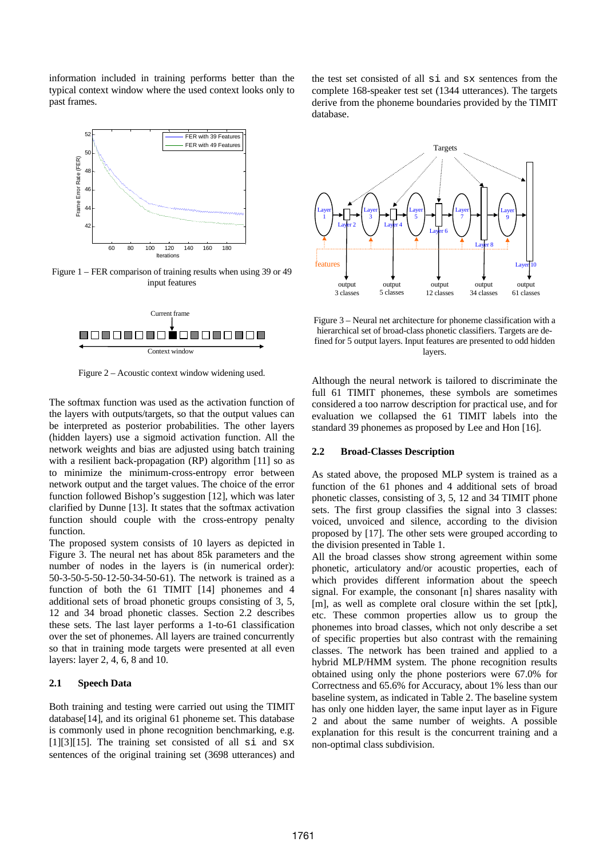information included in training performs better than the typical context window where the used context looks only to past frames.



Figure 1 – FER comparison of training results when using 39 or 49 input features



Figure 2 – Acoustic context window widening used.

The softmax function was used as the activation function of the layers with outputs/targets, so that the output values can be interpreted as posterior probabilities. The other layers (hidden layers) use a sigmoid activation function. All the network weights and bias are adjusted using batch training with a resilient back-propagation (RP) algorithm [\[11\]](#page-4-10) so as to minimize the minimum-cross-entropy error between network output and the target values. The choice of the error function followed Bishop's suggestion [\[12\],](#page-4-11) which was later clarified by Dunne [\[13\].](#page-4-12) It states that the softmax activation function should couple with the cross-entropy penalty function.

The proposed system consists of 10 layers as depicted in Figure 3. The neural net has about 85k parameters and the number of nodes in the layers is (in numerical order): 50-3-50-5-50-12-50-34-50-61). The network is trained as a function of both the 61 TIMIT [\[14\]](#page-4-13) phonemes and 4 additional sets of broad phonetic groups consisting of 3, 5, 12 and 34 broad phonetic classes. Section 2.2 describes these sets. The last layer performs a 1-to-61 classification over the set of phonemes. All layers are trained concurrently so that in training mode targets were presented at all even layers: layer 2, 4, 6, 8 and 10.

#### **2.1 Speech Data**

Both training and testing were carried out using the TIMIT databas[e\[14\],](#page-4-13) and its original 61 phoneme set. This database is commonly used in phone recognition benchmarking, e.g.  $[1][3][15]$  $[1][3][15]$  $[1][3][15]$ . The training set consisted of all si and sx sentences of the original training set (3698 utterances) and

the test set consisted of all si and sx sentences from the complete 168-speaker test set (1344 utterances). The targets derive from the phoneme boundaries provided by the TIMIT database.



Figure 3 – Neural net architecture for phoneme classification with a hierarchical set of broad-class phonetic classifiers. Targets are defined for 5 output layers. Input features are presented to odd hidden layers.

Although the neural network is tailored to discriminate the full 61 TIMIT phonemes, these symbols are sometimes considered a too narrow description for practical use, and for evaluation we collapsed the 61 TIMIT labels into the standard 39 phonemes as proposed by Lee and Hon [\[16\].](#page-4-15)

#### **2.2 Broad-Classes Description**

As stated above, the proposed MLP system is trained as a function of the 61 phones and 4 additional sets of broad phonetic classes, consisting of 3, 5, 12 and 34 TIMIT phone sets. The first group classifies the signal into 3 classes: voiced, unvoiced and silence, according to the division proposed by [\[17\].](#page-4-16) The other sets were grouped according to the division presented in Table 1.

All the broad classes show strong agreement within some phonetic, articulatory and/or acoustic properties, each of which provides different information about the speech signal. For example, the consonant [n] shares nasality with [m], as well as complete oral closure within the set [ptk], etc. These common properties allow us to group the phonemes into broad classes, which not only describe a set of specific properties but also contrast with the remaining classes. The network has been trained and applied to a hybrid MLP/HMM system. The phone recognition results obtained using only the phone posteriors were 67.0% for Correctness and 65.6% for Accuracy, about 1% less than our baseline system, as indicated in Table 2. The baseline system has only one hidden layer, the same input layer as in Figure 2 and about the same number of weights. A possible explanation for this result is the concurrent training and a non-optimal class subdivision.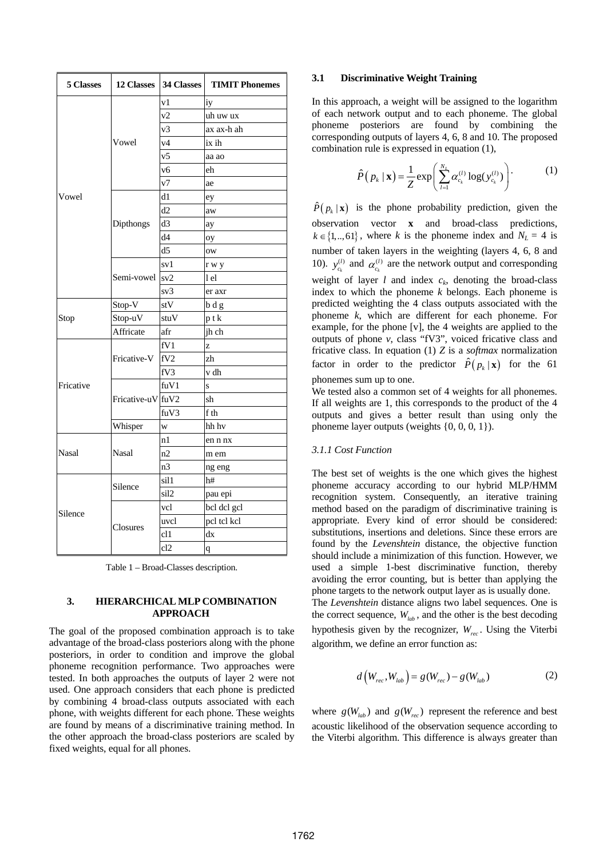| 5 Classes    |                   | 12 Classes 34 Classes | <b>TIMIT Phonemes</b>   |  |
|--------------|-------------------|-----------------------|-------------------------|--|
| Vowel        | Vowel             | v1                    | iy                      |  |
|              |                   | v2                    | uh uw ux                |  |
|              |                   | v3                    | ax ax-h ah              |  |
|              |                   | v4                    | ix ih                   |  |
|              |                   | v <sub>5</sub>        | aa ao                   |  |
|              |                   | v6                    | eh                      |  |
|              |                   | v7                    | ae                      |  |
|              | Dipthongs         | d1                    | ey                      |  |
|              |                   | d2                    | aw                      |  |
|              |                   | d3                    | ay                      |  |
|              |                   | d4                    | oy                      |  |
|              |                   | d <sub>5</sub>        | ow                      |  |
|              | Semi-vowel sv2    | sv1                   | r w y                   |  |
|              |                   |                       | l el                    |  |
|              |                   | sv3                   | er axr                  |  |
| Stop         | Stop-V            | stV                   | b d g                   |  |
|              | Stop-uV           | stuV                  | ptk                     |  |
|              | Affricate         | afr                   | jh ch                   |  |
| Fricative    | Fricative-V       | fV1                   | z                       |  |
|              |                   | fV2                   | zh                      |  |
|              |                   | fV3                   | v dh                    |  |
|              | Fricative-uV fuV2 | fuV1                  | $\overline{\mathbf{s}}$ |  |
|              |                   |                       | sh                      |  |
|              |                   | fuV3                  | f th                    |  |
|              | Whisper           | w                     | hh hv                   |  |
| <b>Nasal</b> | Nasal             | n1                    | en n nx                 |  |
|              |                   | n2                    | m em                    |  |
|              |                   | n <sub>3</sub>        | ng eng                  |  |
|              | Silence           | sil1                  | h#                      |  |
| Silence      |                   | sil <sub>2</sub>      | pau epi                 |  |
|              | Closures          | vcl                   | bcl dcl gcl             |  |
|              |                   | uvcl                  | pel tel kel             |  |
|              |                   | cl1                   | dx                      |  |
|              |                   | cl2                   | $\mathbf q$             |  |

Table 1 – Broad-Classes description.

### **3. HIERARCHICAL MLP COMBINATION APPROACH**

The goal of the proposed combination approach is to take advantage of the broad-class posteriors along with the phone posteriors, in order to condition and improve the global phoneme recognition performance. Two approaches were tested. In both approaches the outputs of layer 2 were not used. One approach considers that each phone is predicted by combining 4 broad-class outputs associated with each phone, with weights different for each phone. These weights are found by means of a discriminative training method. In the other approach the broad-class posteriors are scaled by fixed weights, equal for all phones.

#### **3.1 Discriminative Weight Training**

In this approach, a weight will be assigned to the logarithm of each network output and to each phoneme. The global phoneme posteriors are found by combining the corresponding outputs of layers 4, 6, 8 and 10. The proposed combination rule is expressed in equation (1),

$$
\hat{P}(p_k | \mathbf{x}) = \frac{1}{Z} \exp\left(\sum_{l=1}^{N_L} \alpha_{c_k}^{(l)} \log(\mathbf{y}_{c_k}^{(l)})\right)
$$
 (1)

 $\hat{P}( p_k | \mathbf{x})$  is the phone probability prediction, given the observation vector **x** and broad-class predictions,  $k \in \{1, ..., 61\}$ , where *k* is the phoneme index and  $N_L = 4$  is number of taken layers in the weighting (layers 4, 6, 8 and 10).  $y_{c_k}^{(l)}$  and  $y_{c_k}^{(l)}$  and  $\alpha_{c_k}^{(l)}$  are the network output and corresponding weight of layer *l* and index  $c_k$ , denoting the broad-class index to which the phoneme *k* belongs. Each phoneme is predicted weighting the 4 class outputs associated with the phoneme *k*, which are different for each phoneme. For example, for the phone [v], the 4 weights are applied to the outputs of phone *v*, class "fV3", voiced fricative class and fricative class. In equation (1) *Z* is a *softmax* normalization factor in order to the predictor  $\hat{P}( p_k | \mathbf{x})$  for the 61 phonemes sum up to one.

We tested also a common set of 4 weights for all phonemes. If all weights are 1, this corresponds to the product of the 4 outputs and gives a better result than using only the phoneme layer outputs (weights {0, 0, 0, 1}).

# *3.1.1 Cost Function*

The best set of weights is the one which gives the highest phoneme accuracy according to our hybrid MLP/HMM recognition system. Consequently, an iterative training method based on the paradigm of discriminative training is appropriate. Every kind of error should be considered: substitutions, insertions and deletions. Since these errors are found by the *Levenshtein* distance, the objective function should include a minimization of this function. However, we used a simple 1-best discriminative function, thereby avoiding the error counting, but is better than applying the phone targets to the network output layer as is usually done. The *Levenshtein* distance aligns two label sequences. One is the correct sequence,  $W_{lab}$ , and the other is the best decoding hypothesis given by the recognizer,  $W_{rec}$ . Using the Viterbi algorithm, we define an error function as:

$$
d(W_{rec}, W_{lab}) = g(W_{rec}) - g(W_{lab})
$$
 (2)

where  $g(W_{lab})$  and  $g(W_{rec})$  represent the reference and best acoustic likelihood of the observation sequence according to the Viterbi algorithm. This difference is always greater than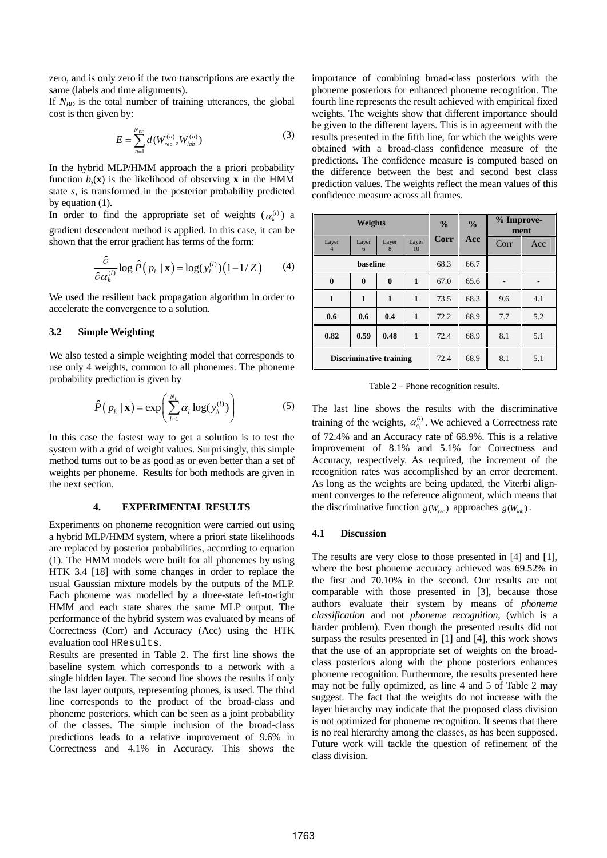zero, and is only zero if the two transcriptions are exactly the same (labels and time alignments).

If *N<sub>BD</sub>* is the total number of training utterances, the global cost is then given by:

$$
E = \sum_{n=1}^{N_{BD}} d(W_{rec}^{(n)}, W_{lab}^{(n)})
$$
 (3)

In the hybrid MLP/HMM approach the a priori probability function  $b_s(\mathbf{x})$  is the likelihood of observing **x** in the HMM state *s*, is transformed in the posterior probability predicted by equation (1).

In order to find the appropriate set of weights  $(\alpha_k^{(l)})$  a gradient descendent method is applied. In this case, it can be shown that the error gradient has terms of the form:

$$
\frac{\partial}{\partial \alpha_k^{(l)}} \log \hat{P}(p_k \mid \mathbf{x}) = \log(y_k^{(l)}) (1 - 1/Z) \tag{4}
$$

We used the resilient back propagation algorithm in order to accelerate the convergence to a solution.

# **3.2 Simple Weighting**

We also tested a simple weighting model that corresponds to use only 4 weights, common to all phonemes. The phoneme probability prediction is given by

$$
\hat{P}(p_k \mid \mathbf{x}) = \exp\left(\sum_{l=1}^{N_L} \alpha_l \log(\mathbf{y}_k^{(l)})\right)
$$
(5)

In this case the fastest way to get a solution is to test the system with a grid of weight values. Surprisingly, this simple method turns out to be as good as or even better than a set of weights per phoneme. Results for both methods are given in the next section.

# **4. EXPERIMENTAL RESULTS**

Experiments on phoneme recognition were carried out using a hybrid MLP/HMM system, where a priori state likelihoods are replaced by posterior probabilities, according to equation (1). The HMM models were built for all phonemes by using HTK 3.4 [\[18\]](#page-4-17) with some changes in order to replace the usual Gaussian mixture models by the outputs of the MLP. Each phoneme was modelled by a three-state left-to-right HMM and each state shares the same MLP output. The performance of the hybrid system was evaluated by means of Correctness (Corr) and Accuracy (Acc) using the HTK evaluation tool HResults.

Results are presented in Table 2. The first line shows the baseline system which corresponds to a network with a single hidden layer. The second line shows the results if only the last layer outputs, representing phones, is used. The third line corresponds to the product of the broad-class and phoneme posteriors, which can be seen as a joint probability of the classes. The simple inclusion of the broad-class predictions leads to a relative improvement of 9.6% in Correctness and 4.1% in Accuracy. This shows the importance of combining broad-class posteriors with the phoneme posteriors for enhanced phoneme recognition. The fourth line represents the result achieved with empirical fixed weights. The weights show that different importance should be given to the different layers. This is in agreement with the results presented in the fifth line, for which the weights were obtained with a broad-class confidence measure of the predictions. The confidence measure is computed based on the difference between the best and second best class prediction values. The weights reflect the mean values of this confidence measure across all frames.

| Weights                        |            |              | $\frac{0}{0}$ | $\frac{0}{0}$ | % Improve-<br>ment |      |     |
|--------------------------------|------------|--------------|---------------|---------------|--------------------|------|-----|
| Layer                          | Layer<br>6 | Layer<br>8   | Layer<br>10   | Corr          | Acc                | Corr | Acc |
| baseline                       |            |              | 68.3          | 66.7          |                    |      |     |
| $\bf{0}$                       | $\bf{0}$   | $\bf{0}$     | $\mathbf{1}$  | 67.0          | 65.6               |      |     |
| 1                              | 1          | $\mathbf{1}$ | $\mathbf{1}$  | 73.5          | 68.3               | 9.6  | 4.1 |
| 0.6                            | 0.6        | 0.4          | $\mathbf{1}$  | 72.2          | 68.9               | 7.7  | 5.2 |
| 0.82                           | 0.59       | 0.48         | $\mathbf{1}$  | 72.4          | 68.9               | 8.1  | 5.1 |
| <b>Discriminative training</b> |            |              | 72.4          | 68.9          | 8.1                | 5.1  |     |

Table 2 – Phone recognition results.

The last line shows the results with the discriminative training of the weights,  $\alpha_{c_k}^{(l)}$ . We achieved a Correctness rate of 72.4% and an Accuracy rate of 68.9%. This is a relative improvement of 8.1% and 5.1% for Correctness and Accuracy, respectively. As required, the increment of the recognition rates was accomplished by an error decrement. As long as the weights are being updated, the Viterbi alignment converges to the reference alignment, which means that the discriminative function  $g(W_{\text{max}})$  approaches  $g(W_{\text{lab}})$ .

#### **4.1 Discussion**

The results are very close to those presented in [\[4\]](#page-4-3) and [\[1\]](#page-4-0), where the best phoneme accuracy achieved was 69.52% in the first and 70.10% in the second. Our results are not comparable with those presented in [\[3\],](#page-4-2) because those authors evaluate their system by means of *phoneme classification* and not *phoneme recognition*, (which is a harder problem). Even though the presented results did not surpass the results presented in [1] and [4], this work shows that the use of an appropriate set of weights on the broadclass posteriors along with the phone posteriors enhances phoneme recognition. Furthermore, the results presented here may not be fully optimized, as line 4 and 5 of Table 2 may suggest. The fact that the weights do not increase with the layer hierarchy may indicate that the proposed class division is not optimized for phoneme recognition. It seems that there is no real hierarchy among the classes, as has been supposed. Future work will tackle the question of refinement of the class division.